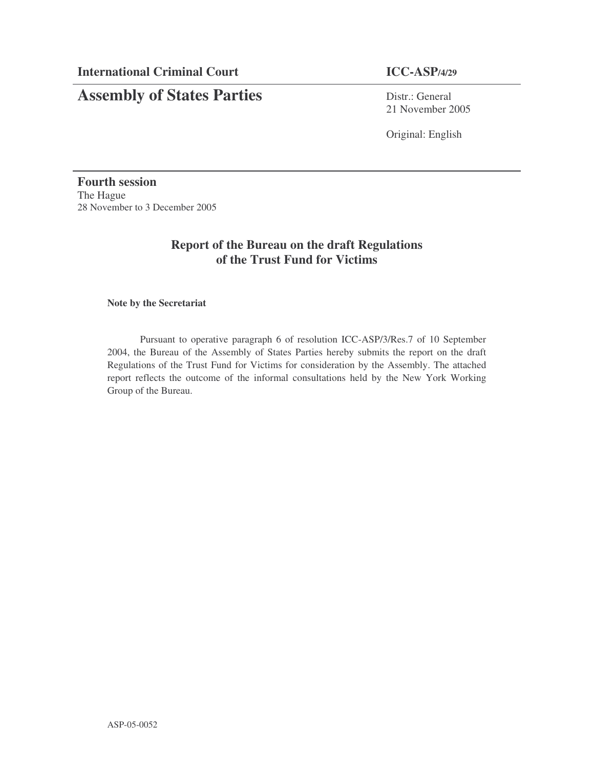# **Assembly of States Parties** Distr.: General

21 November 2005

Original: English

**Fourth session** The Hague 28 November to 3 December 2005

# **Report of the Bureau on the draft Regulations of the Trust Fund for Victims**

#### **Note by the Secretariat**

Pursuant to operative paragraph 6 of resolution ICC-ASP/3/Res.7 of 10 September 2004, the Bureau of the Assembly of States Parties hereby submits the report on the draft Regulations of the Trust Fund for Victims for consideration by the Assembly. The attached report reflects the outcome of the informal consultations held by the New York Working Group of the Bureau.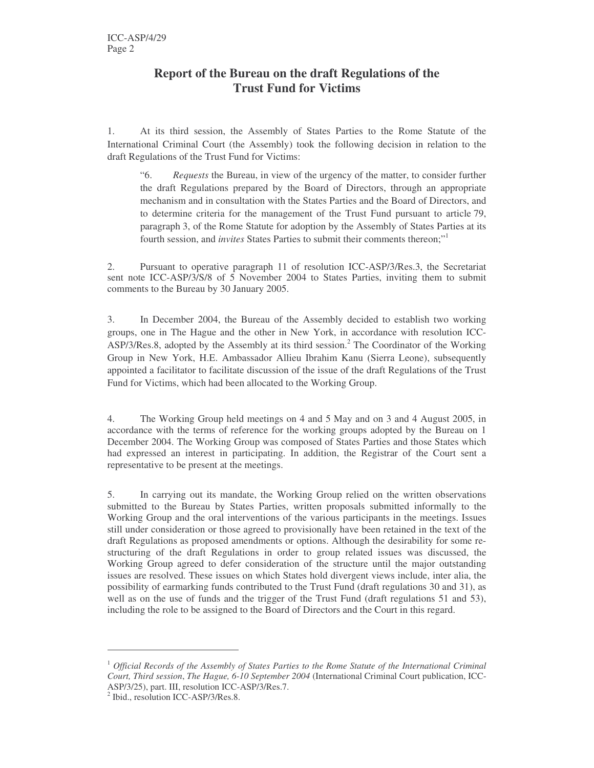# **Report of the Bureau on the draft Regulations of the Trust Fund for Victims**

1. At its third session, the Assembly of States Parties to the Rome Statute of the International Criminal Court (the Assembly) took the following decision in relation to the draft Regulations of the Trust Fund for Victims:

"6. *Requests* the Bureau, in view of the urgency of the matter, to consider further the draft Regulations prepared by the Board of Directors, through an appropriate mechanism and in consultation with the States Parties and the Board of Directors, and to determine criteria for the management of the Trust Fund pursuant to article 79, paragraph 3, of the Rome Statute for adoption by the Assembly of States Parties at its fourth session, and *invites* States Parties to submit their comments thereon;" 1

2. Pursuant to operative paragraph 11 of resolution ICC-ASP/3/Res.3, the Secretariat sent note ICC-ASP/3/S/8 of 5 November 2004 to States Parties, inviting them to submit comments to the Bureau by 30 January 2005.

3. In December 2004, the Bureau of the Assembly decided to establish two working groups, one in The Hague and the other in New York, in accordance with resolution ICC-ASP/3/Res.8, adopted by the Assembly at its third session.<sup>2</sup> The Coordinator of the Working Group in New York, H.E. Ambassador Allieu Ibrahim Kanu (Sierra Leone), subsequently appointed a facilitator to facilitate discussion of the issue of the draft Regulations of the Trust Fund for Victims, which had been allocated to the Working Group.

4. The Working Group held meetings on 4 and 5 May and on 3 and 4 August 2005, in accordance with the terms of reference for the working groups adopted by the Bureau on 1 December 2004. The Working Group was composed of States Parties and those States which had expressed an interest in participating. In addition, the Registrar of the Court sent a representative to be present at the meetings.

5. In carrying out its mandate, the Working Group relied on the written observations submitted to the Bureau by States Parties, written proposals submitted informally to the Working Group and the oral interventions of the various participants in the meetings. Issues still under consideration or those agreed to provisionally have been retained in the text of the draft Regulations as proposed amendments or options. Although the desirability for some restructuring of the draft Regulations in order to group related issues was discussed, the Working Group agreed to defer consideration of the structure until the major outstanding issues are resolved. These issues on which States hold divergent views include, inter alia, the possibility of earmarking funds contributed to the Trust Fund (draft regulations 30 and 31), as well as on the use of funds and the trigger of the Trust Fund (draft regulations 51 and 53), including the role to be assigned to the Board of Directors and the Court in this regard.

<sup>1</sup> *Official Records of the Assembly of States Parties to the Rome Statute of the International Criminal Court, Third session*, *The Hague, 6-10 September 2004* (International Criminal Court publication, ICC-ASP/3/25), part. III, resolution ICC-ASP/3/Res.7.

<sup>&</sup>lt;sup>2</sup> Ibid., resolution ICC-ASP/3/Res.8.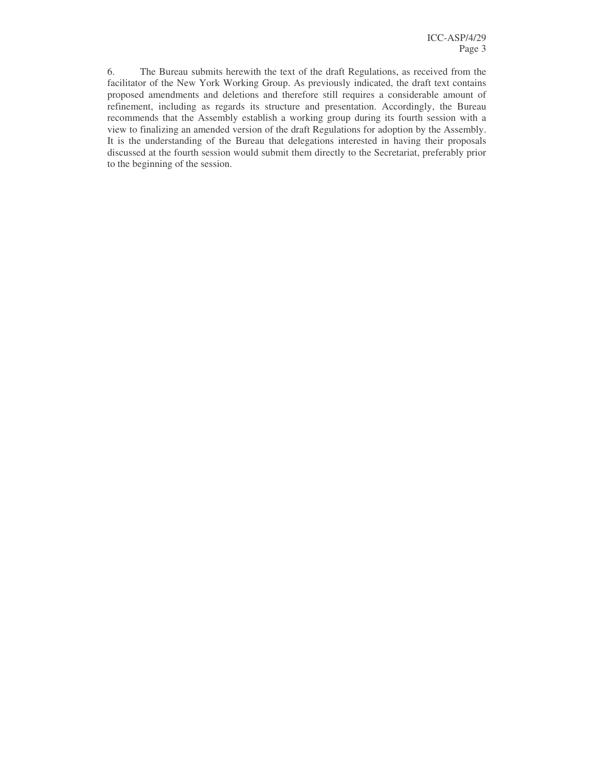6. The Bureau submits herewith the text of the draft Regulations, as received from the facilitator of the New York Working Group. As previously indicated, the draft text contains proposed amendments and deletions and therefore still requires a considerable amount of refinement, including as regards its structure and presentation. Accordingly, the Bureau recommends that the Assembly establish a working group during its fourth session with a view to finalizing an amended version of the draft Regulations for adoption by the Assembly. It is the understanding of the Bureau that delegations interested in having their proposals discussed at the fourth session would submit them directly to the Secretariat, preferably prior to the beginning of the session.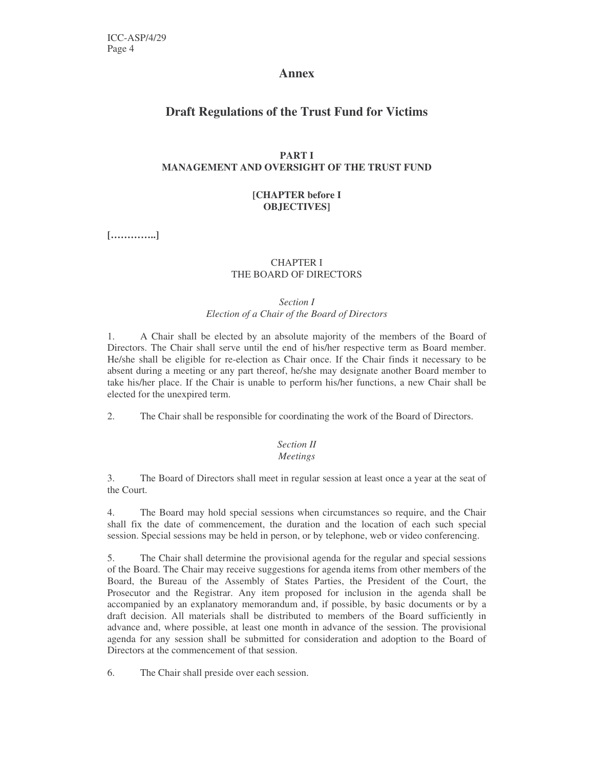## **Annex**

# **Draft Regulations of the Trust Fund for Victims**

## **PART I MANAGEMENT AND OVERSIGHT OF THE TRUST FUND**

### **[CHAPTER before I OBJECTIVES]**

**[…………..]**

#### CHAPTER I THE BOARD OF DIRECTORS

#### *Section I Election of a Chair of the Board of Directors*

1. A Chair shall be elected by an absolute majority of the members of the Board of Directors. The Chair shall serve until the end of his/her respective term as Board member. He/she shall be eligible for re-election as Chair once. If the Chair finds it necessary to be absent during a meeting or any part thereof, he/she may designate another Board member to take his/her place. If the Chair is unable to perform his/her functions, a new Chair shall be elected for the unexpired term.

2. The Chair shall be responsible for coordinating the work of the Board of Directors.

# *Section II*

#### *Meetings*

3. The Board of Directors shall meet in regular session at least once a year at the seat of the Court.

4. The Board may hold special sessions when circumstances so require, and the Chair shall fix the date of commencement, the duration and the location of each such special session. Special sessions may be held in person, or by telephone, web or video conferencing.

5. The Chair shall determine the provisional agenda for the regular and special sessions of the Board. The Chair may receive suggestions for agenda items from other members of the Board, the Bureau of the Assembly of States Parties, the President of the Court, the Prosecutor and the Registrar. Any item proposed for inclusion in the agenda shall be accompanied by an explanatory memorandum and, if possible, by basic documents or by a draft decision. All materials shall be distributed to members of the Board sufficiently in advance and, where possible, at least one month in advance of the session. The provisional agenda for any session shall be submitted for consideration and adoption to the Board of Directors at the commencement of that session.

6. The Chair shall preside over each session.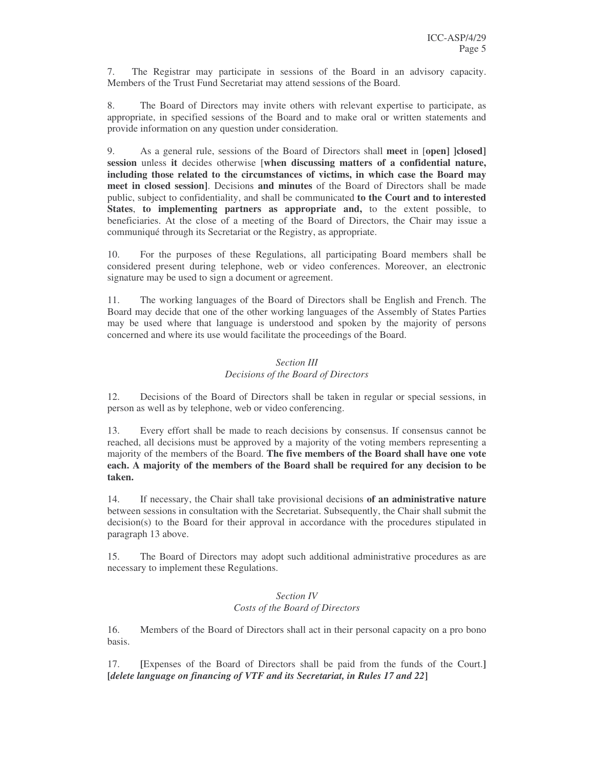7. The Registrar may participate in sessions of the Board in an advisory capacity. Members of the Trust Fund Secretariat may attend sessions of the Board.

8. The Board of Directors may invite others with relevant expertise to participate, as appropriate, in specified sessions of the Board and to make oral or written statements and provide information on any question under consideration.

9. As a general rule, sessions of the Board of Directors shall **meet** in [**open] ]closed] session** unless **it** decides otherwise [**when discussing matters of a confidential nature, including those related to the circumstances of victims, in which case the Board may meet in closed session]**. Decisions **and minutes** of the Board of Directors shall be made public, subject to confidentiality, and shall be communicated **to the Court and to interested States**, **to implementing partners as appropriate and,** to the extent possible, to beneficiaries. At the close of a meeting of the Board of Directors, the Chair may issue a communiqué through its Secretariat or the Registry, as appropriate.

10. For the purposes of these Regulations, all participating Board members shall be considered present during telephone, web or video conferences. Moreover, an electronic signature may be used to sign a document or agreement.

11. The working languages of the Board of Directors shall be English and French. The Board may decide that one of the other working languages of the Assembly of States Parties may be used where that language is understood and spoken by the majority of persons concerned and where its use would facilitate the proceedings of the Board.

#### *Section III Decisions of the Board of Directors*

12. Decisions of the Board of Directors shall be taken in regular or special sessions, in person as well as by telephone, web or video conferencing.

13. Every effort shall be made to reach decisions by consensus. If consensus cannot be reached, all decisions must be approved by a majority of the voting members representing a majority of the members of the Board. **The five members of the Board shall have one vote each. A majority of the members of the Board shall be required for any decision to be taken.**

14. If necessary, the Chair shall take provisional decisions **of an administrative nature** between sessions in consultation with the Secretariat. Subsequently, the Chair shall submit the decision(s) to the Board for their approval in accordance with the procedures stipulated in paragraph 13 above.

15. The Board of Directors may adopt such additional administrative procedures as are necessary to implement these Regulations.

#### *Section IV Costs of the Board of Directors*

16. Members of the Board of Directors shall act in their personal capacity on a pro bono basis.

17. **[**Expenses of the Board of Directors shall be paid from the funds of the Court.**] [***delete language on financing of VTF and its Secretariat, in Rules 17 and 22***]**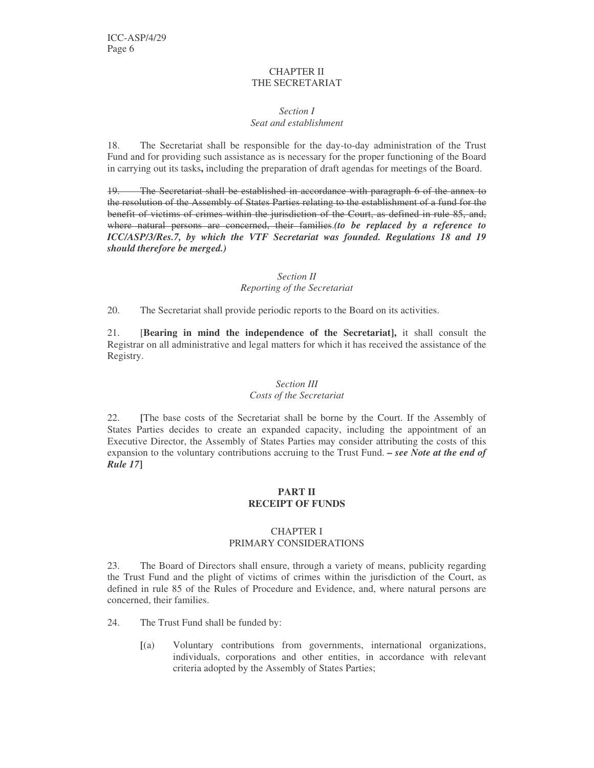#### CHAPTER II THE SECRETARIAT

#### *Section I Seat and establishment*

18. The Secretariat shall be responsible for the day-to-day administration of the Trust Fund and for providing such assistance as is necessary for the proper functioning of the Board in carrying out its tasks**,** including the preparation of draft agendas for meetings of the Board.

19. The Secretariat shall be established in accordance with paragraph 6 of the annex to the resolution of the Assembly of States Parties relating to the establishment of a fund for the benefit of victims of crimes within the jurisdiction of the Court, as defined in rule 85, and, where natural persons are concerned, their families.*(to be replaced by a reference to ICC/ASP/3/Res.7, by which the VTF Secretariat was founded. Regulations 18 and 19 should therefore be merged.)*

#### *Section II Reporting of the Secretariat*

20. The Secretariat shall provide periodic reports to the Board on its activities.

21. [**Bearing in mind the independence of the Secretariat],** it shall consult the Registrar on all administrative and legal matters for which it has received the assistance of the Registry.

#### *Section III Costs of the Secretariat*

22. **[**The base costs of the Secretariat shall be borne by the Court. If the Assembly of States Parties decides to create an expanded capacity, including the appointment of an Executive Director, the Assembly of States Parties may consider attributing the costs of this expansion to the voluntary contributions accruing to the Trust Fund. *– see Note at the end of Rule 17***]**

### **PART II RECEIPT OF FUNDS**

#### CHAPTER I PRIMARY CONSIDERATIONS

23. The Board of Directors shall ensure, through a variety of means, publicity regarding the Trust Fund and the plight of victims of crimes within the jurisdiction of the Court, as defined in rule 85 of the Rules of Procedure and Evidence, and, where natural persons are concerned, their families.

- 24. The Trust Fund shall be funded by:
	- **[**(a) Voluntary contributions from governments, international organizations, individuals, corporations and other entities, in accordance with relevant criteria adopted by the Assembly of States Parties;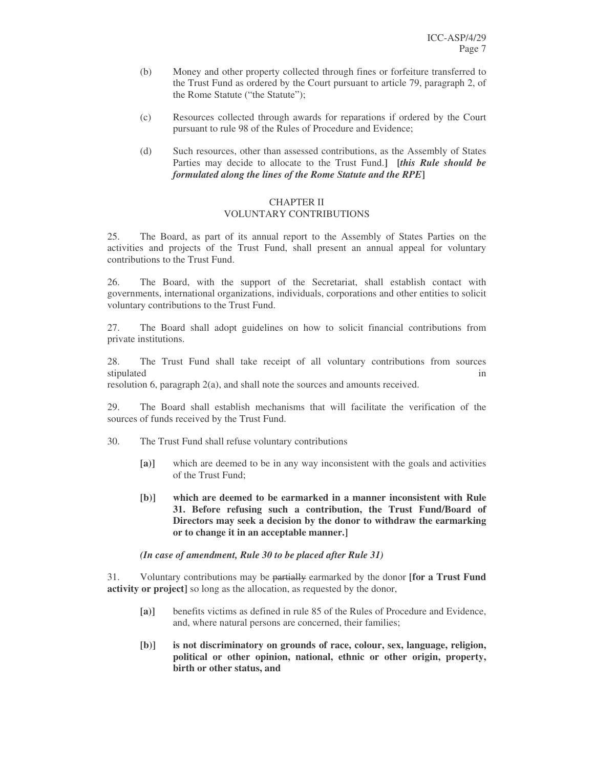- (b) Money and other property collected through fines or forfeiture transferred to the Trust Fund as ordered by the Court pursuant to article 79, paragraph 2, of the Rome Statute ("the Statute");
- (c) Resources collected through awards for reparations if ordered by the Court pursuant to rule 98 of the Rules of Procedure and Evidence;
- (d) Such resources, other than assessed contributions, as the Assembly of States Parties may decide to allocate to the Trust Fund.**] [***this Rule should be formulated along the lines of the Rome Statute and the RPE***]**

#### CHAPTER II VOLUNTARY CONTRIBUTIONS

25. The Board, as part of its annual report to the Assembly of States Parties on the activities and projects of the Trust Fund, shall present an annual appeal for voluntary contributions to the Trust Fund.

26. The Board, with the support of the Secretariat, shall establish contact with governments, international organizations, individuals, corporations and other entities to solicit voluntary contributions to the Trust Fund.

27. The Board shall adopt guidelines on how to solicit financial contributions from private institutions.

28. The Trust Fund shall take receipt of all voluntary contributions from sources stipulated in the state of the state of the state of the state of the state of the state of the state of the state of the state of the state of the state of the state of the state of the state of the state of the state of

resolution 6, paragraph 2(a), and shall note the sources and amounts received.

29. The Board shall establish mechanisms that will facilitate the verification of the sources of funds received by the Trust Fund.

- 30. The Trust Fund shall refuse voluntary contributions
	- **[a)]** which are deemed to be in any way inconsistent with the goals and activities of the Trust Fund;
	- **[b)] which are deemed to be earmarked in a manner inconsistent with Rule 31. Before refusing such a contribution, the Trust Fund/Board of Directors may seek a decision by the donor to withdraw the earmarking or to change it in an acceptable manner.]**

#### *(In case of amendment, Rule 30 to be placed after Rule 31)*

31. Voluntary contributions may be partially earmarked by the donor **[for a Trust Fund activity or project]** so long as the allocation, as requested by the donor,

- **[a)]** benefits victims as defined in rule 85 of the Rules of Procedure and Evidence, and, where natural persons are concerned, their families;
- **[b)] is not discriminatory on grounds of race, colour, sex, language, religion, political or other opinion, national, ethnic or other origin, property, birth or other status, and**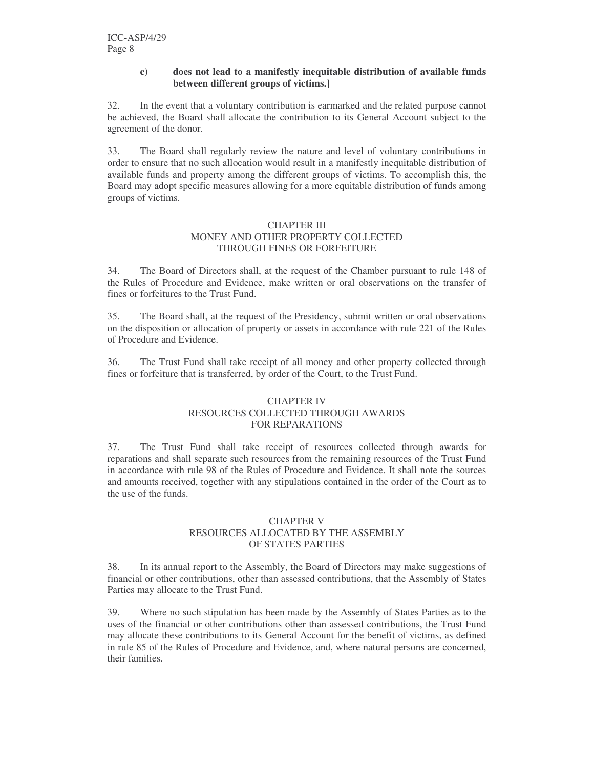#### **c) does not lead to a manifestly inequitable distribution of available funds between different groups of victims.]**

32. In the event that a voluntary contribution is earmarked and the related purpose cannot be achieved, the Board shall allocate the contribution to its General Account subject to the agreement of the donor.

33. The Board shall regularly review the nature and level of voluntary contributions in order to ensure that no such allocation would result in a manifestly inequitable distribution of available funds and property among the different groups of victims. To accomplish this, the Board may adopt specific measures allowing for a more equitable distribution of funds among groups of victims.

#### CHAPTER III MONEY AND OTHER PROPERTY COLLECTED THROUGH FINES OR FORFEITURE

34. The Board of Directors shall, at the request of the Chamber pursuant to rule 148 of the Rules of Procedure and Evidence, make written or oral observations on the transfer of fines or forfeitures to the Trust Fund.

35. The Board shall, at the request of the Presidency, submit written or oral observations on the disposition or allocation of property or assets in accordance with rule 221 of the Rules of Procedure and Evidence.

36. The Trust Fund shall take receipt of all money and other property collected through fines or forfeiture that is transferred, by order of the Court, to the Trust Fund.

#### CHAPTER IV RESOURCES COLLECTED THROUGH AWARDS FOR REPARATIONS

37. The Trust Fund shall take receipt of resources collected through awards for reparations and shall separate such resources from the remaining resources of the Trust Fund in accordance with rule 98 of the Rules of Procedure and Evidence. It shall note the sources and amounts received, together with any stipulations contained in the order of the Court as to the use of the funds.

#### CHAPTER V RESOURCES ALLOCATED BY THE ASSEMBLY OF STATES PARTIES

38. In its annual report to the Assembly, the Board of Directors may make suggestions of financial or other contributions, other than assessed contributions, that the Assembly of States Parties may allocate to the Trust Fund.

39. Where no such stipulation has been made by the Assembly of States Parties as to the uses of the financial or other contributions other than assessed contributions, the Trust Fund may allocate these contributions to its General Account for the benefit of victims, as defined in rule 85 of the Rules of Procedure and Evidence, and, where natural persons are concerned, their families.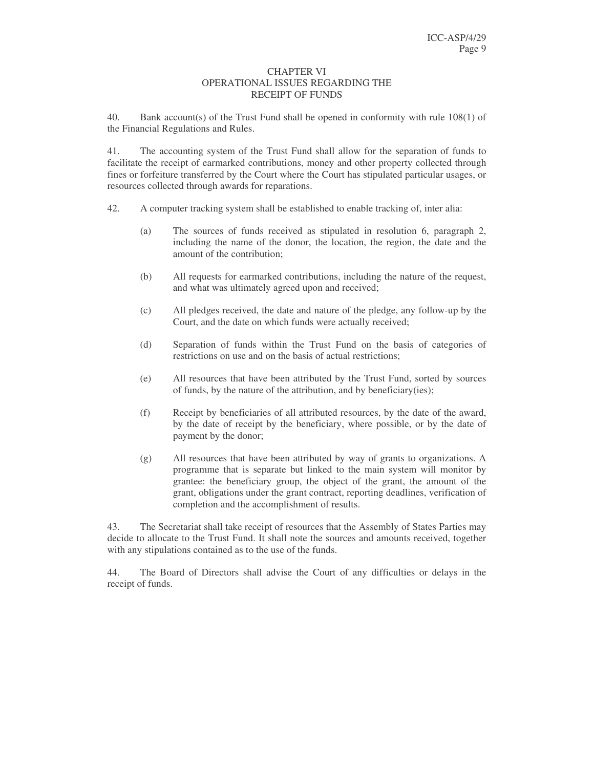#### CHAPTER VI OPERATIONAL ISSUES REGARDING THE RECEIPT OF FUNDS

40. Bank account(s) of the Trust Fund shall be opened in conformity with rule 108(1) of the Financial Regulations and Rules.

41. The accounting system of the Trust Fund shall allow for the separation of funds to facilitate the receipt of earmarked contributions, money and other property collected through fines or forfeiture transferred by the Court where the Court has stipulated particular usages, or resources collected through awards for reparations.

- 42. A computer tracking system shall be established to enable tracking of, inter alia:
	- (a) The sources of funds received as stipulated in resolution 6, paragraph 2, including the name of the donor, the location, the region, the date and the amount of the contribution;
	- (b) All requests for earmarked contributions, including the nature of the request, and what was ultimately agreed upon and received;
	- (c) All pledges received, the date and nature of the pledge, any follow-up by the Court, and the date on which funds were actually received;
	- (d) Separation of funds within the Trust Fund on the basis of categories of restrictions on use and on the basis of actual restrictions;
	- (e) All resources that have been attributed by the Trust Fund, sorted by sources of funds, by the nature of the attribution, and by beneficiary(ies);
	- (f) Receipt by beneficiaries of all attributed resources, by the date of the award, by the date of receipt by the beneficiary, where possible, or by the date of payment by the donor;
	- (g) All resources that have been attributed by way of grants to organizations. A programme that is separate but linked to the main system will monitor by grantee: the beneficiary group, the object of the grant, the amount of the grant, obligations under the grant contract, reporting deadlines, verification of completion and the accomplishment of results.

43. The Secretariat shall take receipt of resources that the Assembly of States Parties may decide to allocate to the Trust Fund. It shall note the sources and amounts received, together with any stipulations contained as to the use of the funds.

44. The Board of Directors shall advise the Court of any difficulties or delays in the receipt of funds.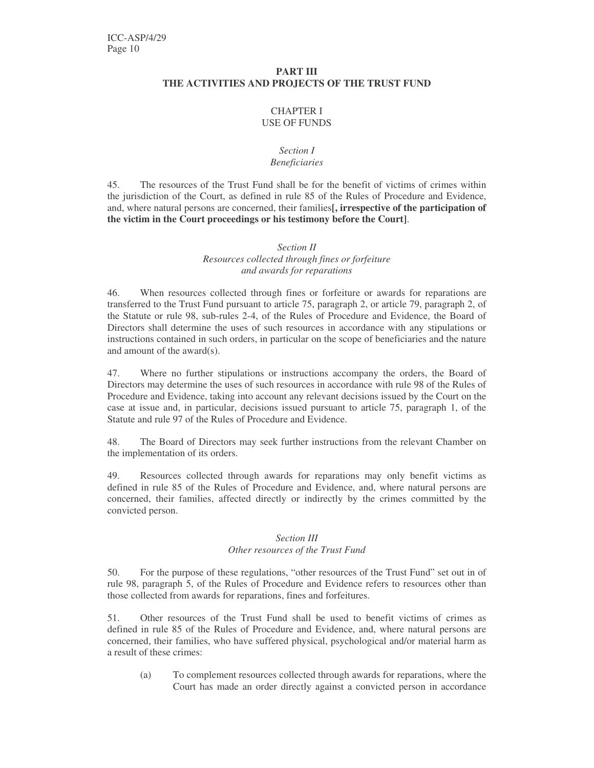#### **PART III THE ACTIVITIES AND PROJECTS OF THE TRUST FUND**

#### CHAPTER I USE OF FUNDS

#### *Section I Beneficiaries*

45. The resources of the Trust Fund shall be for the benefit of victims of crimes within the jurisdiction of the Court, as defined in rule 85 of the Rules of Procedure and Evidence, and, where natural persons are concerned, their families**[, irrespective of the participation of the victim in the Court proceedings or his testimony before the Court]**.

#### *Section II Resources collected through fines or forfeiture and awards for reparations*

46. When resources collected through fines or forfeiture or awards for reparations are transferred to the Trust Fund pursuant to article 75, paragraph 2, or article 79, paragraph 2, of the Statute or rule 98, sub-rules 2-4, of the Rules of Procedure and Evidence, the Board of Directors shall determine the uses of such resources in accordance with any stipulations or instructions contained in such orders, in particular on the scope of beneficiaries and the nature and amount of the award(s).

47. Where no further stipulations or instructions accompany the orders, the Board of Directors may determine the uses of such resources in accordance with rule 98 of the Rules of Procedure and Evidence, taking into account any relevant decisions issued by the Court on the case at issue and, in particular, decisions issued pursuant to article 75, paragraph 1, of the Statute and rule 97 of the Rules of Procedure and Evidence.

48. The Board of Directors may seek further instructions from the relevant Chamber on the implementation of its orders.

49. Resources collected through awards for reparations may only benefit victims as defined in rule 85 of the Rules of Procedure and Evidence, and, where natural persons are concerned, their families, affected directly or indirectly by the crimes committed by the convicted person.

#### *Section III*

#### *Other resources of the Trust Fund*

50. For the purpose of these regulations, "other resources of the Trust Fund" set out in of rule 98, paragraph 5, of the Rules of Procedure and Evidence refers to resources other than those collected from awards for reparations, fines and forfeitures.

51. Other resources of the Trust Fund shall be used to benefit victims of crimes as defined in rule 85 of the Rules of Procedure and Evidence, and, where natural persons are concerned, their families, who have suffered physical, psychological and/or material harm as a result of these crimes:

(a) To complement resources collected through awards for reparations, where the Court has made an order directly against a convicted person in accordance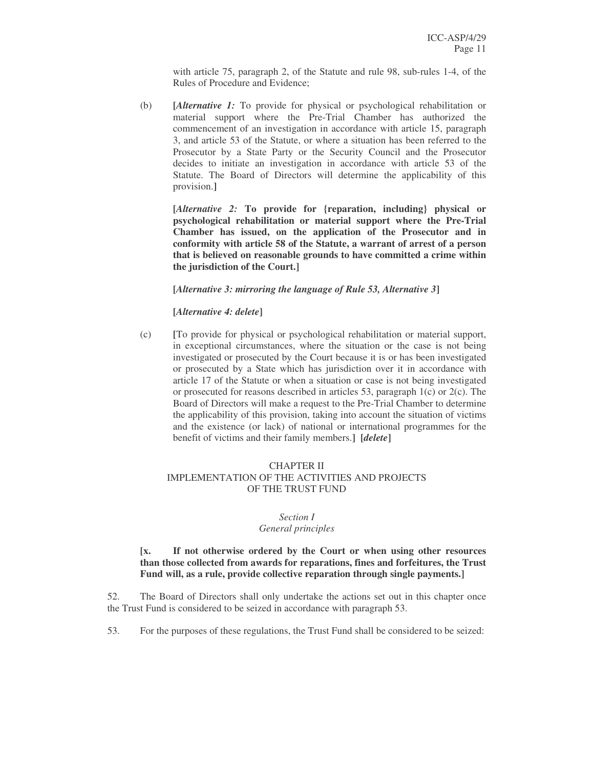with article 75, paragraph 2, of the Statute and rule 98, sub-rules 1-4, of the Rules of Procedure and Evidence;

(b) **[***Alternative 1:* To provide for physical or psychological rehabilitation or material support where the Pre-Trial Chamber has authorized the commencement of an investigation in accordance with article 15, paragraph 3, and article 53 of the Statute, or where a situation has been referred to the Prosecutor by a State Party or the Security Council and the Prosecutor decides to initiate an investigation in accordance with article 53 of the Statute. The Board of Directors will determine the applicability of this provision.**]**

**[***Alternative 2:* **To provide for {reparation, including} physical or psychological rehabilitation or material support where the Pre-Trial Chamber has issued, on the application of the Prosecutor and in conformity with article 58 of the Statute, a warrant of arrest of a person that is believed on reasonable grounds to have committed a crime within the jurisdiction of the Court.]**

**[***Alternative 3: mirroring the language of Rule 53, Alternative 3***]**

#### **[***Alternative 4: delete***]**

(c) **[**To provide for physical or psychological rehabilitation or material support, in exceptional circumstances, where the situation or the case is not being investigated or prosecuted by the Court because it is or has been investigated or prosecuted by a State which has jurisdiction over it in accordance with article 17 of the Statute or when a situation or case is not being investigated or prosecuted for reasons described in articles 53, paragraph 1(c) or 2(c). The Board of Directors will make a request to the Pre-Trial Chamber to determine the applicability of this provision, taking into account the situation of victims and the existence (or lack) of national or international programmes for the benefit of victims and their family members.**] [***delete***]**

#### CHAPTER II IMPLEMENTATION OF THE ACTIVITIES AND PROJECTS OF THE TRUST FUND

## *Section I*

#### *General principles*

**[x. If not otherwise ordered by the Court or when using other resources than those collected from awards for reparations, fines and forfeitures, the Trust Fund will, as a rule, provide collective reparation through single payments.]**

52. The Board of Directors shall only undertake the actions set out in this chapter once the Trust Fund is considered to be seized in accordance with paragraph 53.

53. For the purposes of these regulations, the Trust Fund shall be considered to be seized: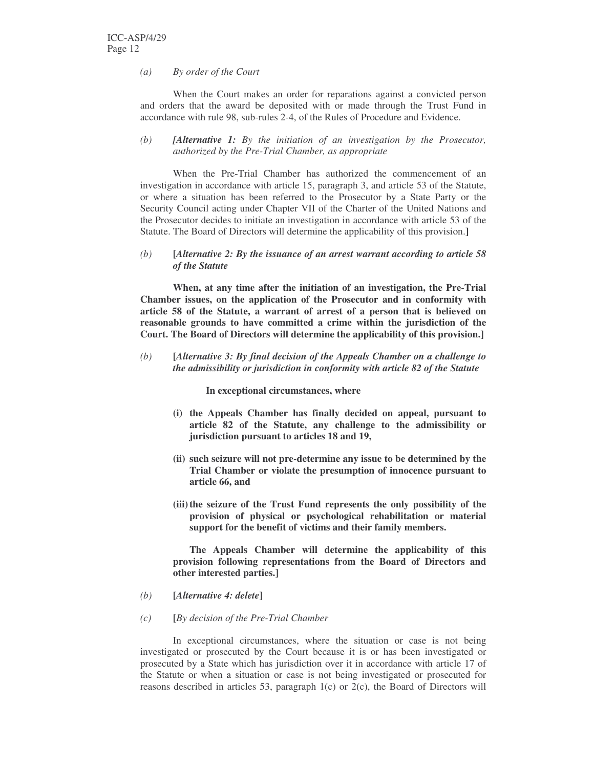*(a) By order of the Court*

When the Court makes an order for reparations against a convicted person and orders that the award be deposited with or made through the Trust Fund in accordance with rule 98, sub-rules 2-4, of the Rules of Procedure and Evidence.

#### *(b) [Alternative 1: By the initiation of an investigation by the Prosecutor, authorized by the Pre-Trial Chamber, as appropriate*

When the Pre-Trial Chamber has authorized the commencement of an investigation in accordance with article 15, paragraph 3, and article 53 of the Statute, or where a situation has been referred to the Prosecutor by a State Party or the Security Council acting under Chapter VII of the Charter of the United Nations and the Prosecutor decides to initiate an investigation in accordance with article 53 of the Statute. The Board of Directors will determine the applicability of this provision.**]**

#### *(b)* **[***Alternative 2: By the issuance of an arrest warrant according to article 58 of the Statute*

**When, at any time after the initiation of an investigation, the Pre-Trial Chamber issues, on the application of the Prosecutor and in conformity with article 58 of the Statute, a warrant of arrest of a person that is believed on reasonable grounds to have committed a crime within the jurisdiction of the Court. The Board of Directors will determine the applicability of this provision.]**

*(b)* **[***Alternative 3: By final decision of the Appeals Chamber on a challenge to the admissibility or jurisdiction in conformity with article 82 of the Statute*

**In exceptional circumstances, where**

- **(i) the Appeals Chamber has finally decided on appeal, pursuant to article 82 of the Statute, any challenge to the admissibility or jurisdiction pursuant to articles 18 and 19,**
- **(ii) such seizure will not pre-determine any issue to be determined by the Trial Chamber or violate the presumption of innocence pursuant to article 66, and**
- **(iii)the seizure of the Trust Fund represents the only possibility of the provision of physical or psychological rehabilitation or material support for the benefit of victims and their family members.**

**The Appeals Chamber will determine the applicability of this provision following representations from the Board of Directors and other interested parties.]**

- *(b)* **[***Alternative 4: delete***]**
- *(c)* **[***By decision of the Pre-Trial Chamber*

In exceptional circumstances, where the situation or case is not being investigated or prosecuted by the Court because it is or has been investigated or prosecuted by a State which has jurisdiction over it in accordance with article 17 of the Statute or when a situation or case is not being investigated or prosecuted for reasons described in articles 53, paragraph 1(c) or 2(c), the Board of Directors will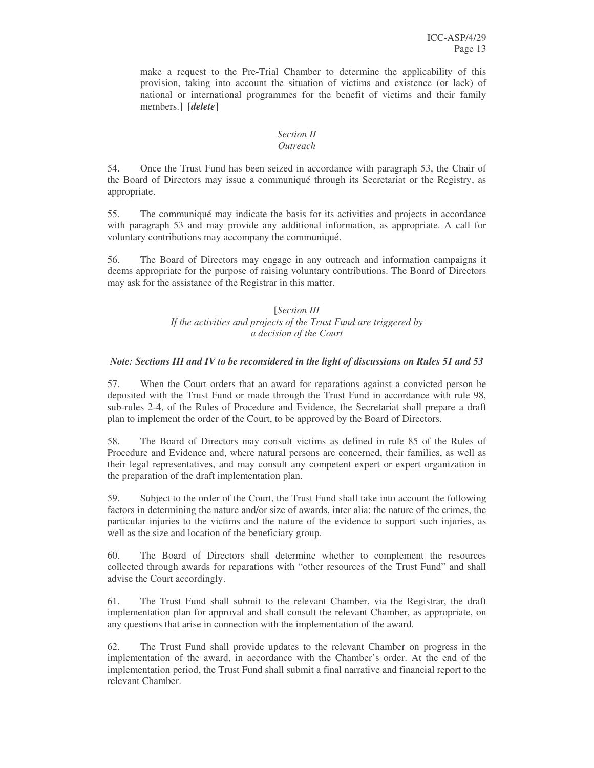make a request to the Pre-Trial Chamber to determine the applicability of this provision, taking into account the situation of victims and existence (or lack) of national or international programmes for the benefit of victims and their family members.**] [***delete***]**

#### *Section II Outreach*

54. Once the Trust Fund has been seized in accordance with paragraph 53, the Chair of

the Board of Directors may issue a communiqué through its Secretariat or the Registry, as appropriate.

55. The communiqué may indicate the basis for its activities and projects in accordance with paragraph 53 and may provide any additional information, as appropriate. A call for voluntary contributions may accompany the communiqué.

56. The Board of Directors may engage in any outreach and information campaigns it deems appropriate for the purpose of raising voluntary contributions. The Board of Directors may ask for the assistance of the Registrar in this matter.

### **[***Section III If the activities and projects of the Trust Fund are triggered by a decision of the Court*

## *Note: Sections III and IV to be reconsidered in the light of discussions on Rules 51 and 53*

57. When the Court orders that an award for reparations against a convicted person be deposited with the Trust Fund or made through the Trust Fund in accordance with rule 98, sub-rules 2-4, of the Rules of Procedure and Evidence, the Secretariat shall prepare a draft plan to implement the order of the Court, to be approved by the Board of Directors.

58. The Board of Directors may consult victims as defined in rule 85 of the Rules of Procedure and Evidence and, where natural persons are concerned, their families, as well as their legal representatives, and may consult any competent expert or expert organization in the preparation of the draft implementation plan.

59. Subject to the order of the Court, the Trust Fund shall take into account the following factors in determining the nature and/or size of awards, inter alia: the nature of the crimes, the particular injuries to the victims and the nature of the evidence to support such injuries, as well as the size and location of the beneficiary group.

60. The Board of Directors shall determine whether to complement the resources collected through awards for reparations with "other resources of the Trust Fund" and shall advise the Court accordingly.

61. The Trust Fund shall submit to the relevant Chamber, via the Registrar, the draft implementation plan for approval and shall consult the relevant Chamber, as appropriate, on any questions that arise in connection with the implementation of the award.

62. The Trust Fund shall provide updates to the relevant Chamber on progress in the implementation of the award, in accordance with the Chamber's order. At the end of the implementation period, the Trust Fund shall submit a final narrative and financial report to the relevant Chamber.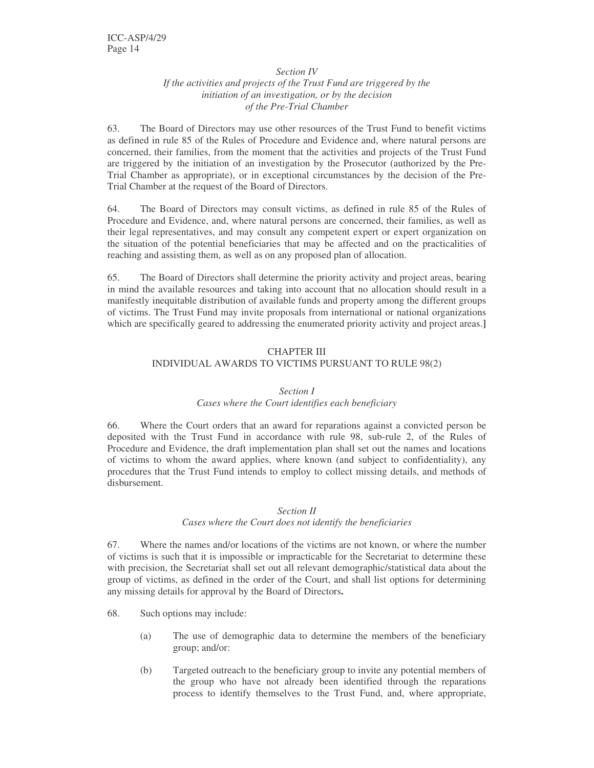#### *Section IV*

#### *If the activities and projects of the Trust Fund are triggered by the initiation of an investigation, or by the decision of the Pre-Trial Chamber*

63. The Board of Directors may use other resources of the Trust Fund to benefit victims as defined in rule 85 of the Rules of Procedure and Evidence and, where natural persons are concerned, their families, from the moment that the activities and projects of the Trust Fund are triggered by the initiation of an investigation by the Prosecutor (authorized by the Pre-Trial Chamber as appropriate), or in exceptional circumstances by the decision of the Pre-Trial Chamber at the request of the Board of Directors.

64. The Board of Directors may consult victims, as defined in rule 85 of the Rules of Procedure and Evidence, and, where natural persons are concerned, their families, as well as their legal representatives, and may consult any competent expert or expert organization on the situation of the potential beneficiaries that may be affected and on the practicalities of reaching and assisting them, as well as on any proposed plan of allocation.

65. The Board of Directors shall determine the priority activity and project areas, bearing in mind the available resources and taking into account that no allocation should result in a manifestly inequitable distribution of available funds and property among the different groups of victims. The Trust Fund may invite proposals from international or national organizations which are specifically geared to addressing the enumerated priority activity and project areas.**]**

#### CHAPTER III

### INDIVIDUAL AWARDS TO VICTIMS PURSUANT TO RULE 98(2)

#### *Section I*

#### *Cases where the Court identifies each beneficiary*

66. Where the Court orders that an award for reparations against a convicted person be deposited with the Trust Fund in accordance with rule 98, sub-rule 2, of the Rules of Procedure and Evidence, the draft implementation plan shall set out the names and locations of victims to whom the award applies, where known (and subject to confidentiality), any procedures that the Trust Fund intends to employ to collect missing details, and methods of disbursement.

#### *Section II*

#### *Cases where the Court does not identify the beneficiaries*

67. Where the names and/or locations of the victims are not known, or where the number of victims is such that it is impossible or impracticable for the Secretariat to determine these with precision, the Secretariat shall set out all relevant demographic/statistical data about the group of victims, as defined in the order of the Court, and shall list options for determining any missing details for approval by the Board of Directors**.**

- 68. Such options may include:
	- (a) The use of demographic data to determine the members of the beneficiary group; and/or:
	- (b) Targeted outreach to the beneficiary group to invite any potential members of the group who have not already been identified through the reparations process to identify themselves to the Trust Fund, and, where appropriate,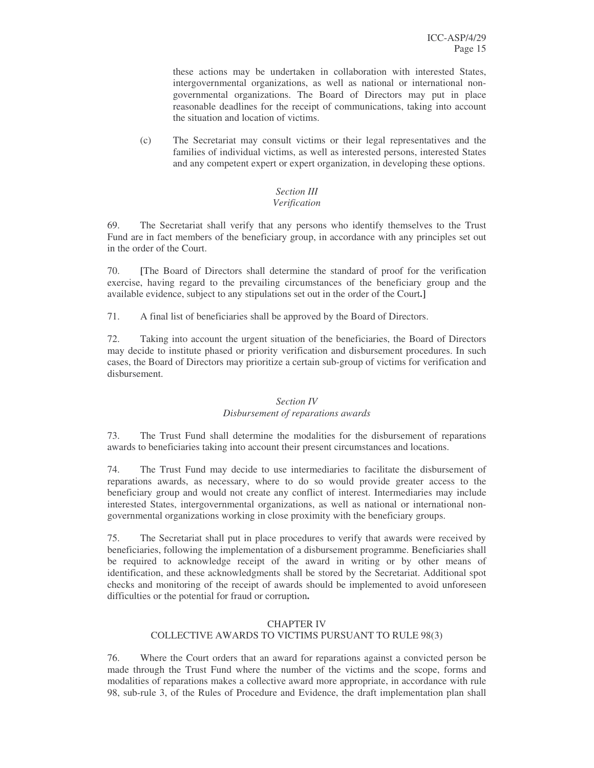these actions may be undertaken in collaboration with interested States, intergovernmental organizations, as well as national or international nongovernmental organizations. The Board of Directors may put in place reasonable deadlines for the receipt of communications, taking into account the situation and location of victims.

(c) The Secretariat may consult victims or their legal representatives and the families of individual victims, as well as interested persons, interested States and any competent expert or expert organization, in developing these options.

# *Section III*

## *Verification*

69. The Secretariat shall verify that any persons who identify themselves to the Trust Fund are in fact members of the beneficiary group, in accordance with any principles set out in the order of the Court.

70. **[**The Board of Directors shall determine the standard of proof for the verification exercise, having regard to the prevailing circumstances of the beneficiary group and the available evidence, subject to any stipulations set out in the order of the Court**.]**

71. A final list of beneficiaries shall be approved by the Board of Directors.

72. Taking into account the urgent situation of the beneficiaries, the Board of Directors may decide to institute phased or priority verification and disbursement procedures. In such cases, the Board of Directors may prioritize a certain sub-group of victims for verification and disbursement.

#### *Section IV Disbursement of reparations awards*

73. The Trust Fund shall determine the modalities for the disbursement of reparations awards to beneficiaries taking into account their present circumstances and locations.

74. The Trust Fund may decide to use intermediaries to facilitate the disbursement of reparations awards, as necessary, where to do so would provide greater access to the beneficiary group and would not create any conflict of interest. Intermediaries may include interested States, intergovernmental organizations, as well as national or international nongovernmental organizations working in close proximity with the beneficiary groups.

75. The Secretariat shall put in place procedures to verify that awards were received by beneficiaries, following the implementation of a disbursement programme. Beneficiaries shall be required to acknowledge receipt of the award in writing or by other means of identification, and these acknowledgments shall be stored by the Secretariat. Additional spot checks and monitoring of the receipt of awards should be implemented to avoid unforeseen difficulties or the potential for fraud or corruption**.**

### CHAPTER IV COLLECTIVE AWARDS TO VICTIMS PURSUANT TO RULE 98(3)

76. Where the Court orders that an award for reparations against a convicted person be made through the Trust Fund where the number of the victims and the scope, forms and modalities of reparations makes a collective award more appropriate, in accordance with rule 98, sub-rule 3, of the Rules of Procedure and Evidence, the draft implementation plan shall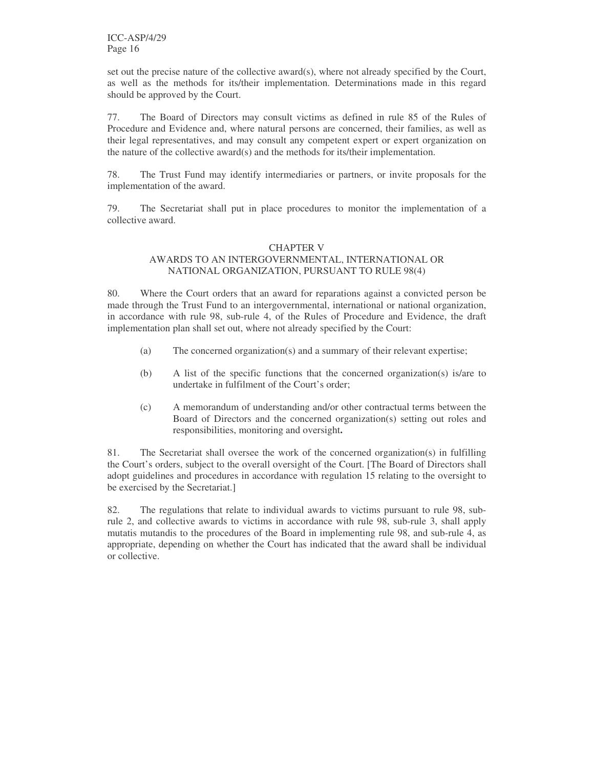set out the precise nature of the collective award(s), where not already specified by the Court, as well as the methods for its/their implementation. Determinations made in this regard should be approved by the Court.

77. The Board of Directors may consult victims as defined in rule 85 of the Rules of Procedure and Evidence and, where natural persons are concerned, their families, as well as their legal representatives, and may consult any competent expert or expert organization on the nature of the collective award(s) and the methods for its/their implementation.

78. The Trust Fund may identify intermediaries or partners, or invite proposals for the implementation of the award.

79. The Secretariat shall put in place procedures to monitor the implementation of a collective award.

#### CHAPTER V AWARDS TO AN INTERGOVERNMENTAL, INTERNATIONAL OR NATIONAL ORGANIZATION, PURSUANT TO RULE 98(4)

80. Where the Court orders that an award for reparations against a convicted person be made through the Trust Fund to an intergovernmental, international or national organization, in accordance with rule 98, sub-rule 4, of the Rules of Procedure and Evidence, the draft implementation plan shall set out, where not already specified by the Court:

- (a) The concerned organization(s) and a summary of their relevant expertise;
- (b) A list of the specific functions that the concerned organization(s) is/are to undertake in fulfilment of the Court's order;
- (c) A memorandum of understanding and/or other contractual terms between the Board of Directors and the concerned organization(s) setting out roles and responsibilities, monitoring and oversight**.**

81. The Secretariat shall oversee the work of the concerned organization(s) in fulfilling the Court's orders, subject to the overall oversight of the Court. [The Board of Directors shall adopt guidelines and procedures in accordance with regulation 15 relating to the oversight to be exercised by the Secretariat.]

82. The regulations that relate to individual awards to victims pursuant to rule 98, subrule 2, and collective awards to victims in accordance with rule 98, sub-rule 3, shall apply mutatis mutandis to the procedures of the Board in implementing rule 98, and sub-rule 4, as appropriate, depending on whether the Court has indicated that the award shall be individual or collective.